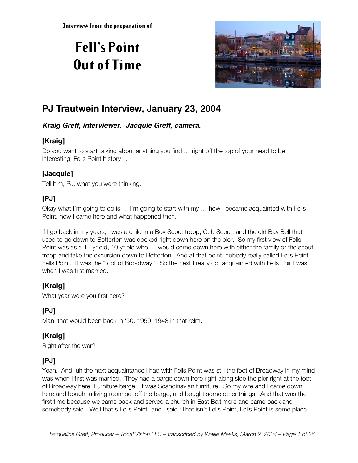# **Fell's Point Out of Time**



# **PJ Trautwein Interview, January 23, 2004**

#### **Kraig Greff, interviewer. Jacquie Greff, camera.**

# **[Kraig]**

Do you want to start talking about anything you find … right off the top of your head to be interesting, Fells Point history…

# **[Jacquie]**

Tell him, PJ, what you were thinking.

# **[PJ]**

Okay what I'm going to do is … I'm going to start with my … how I became acquainted with Fells Point, how I came here and what happened then.

If I go back in my years, I was a child in a Boy Scout troop, Cub Scout, and the old Bay Bell that used to go down to Betterton was docked right down here on the pier. So my first view of Fells Point was as a 11 yr old, 10 yr old who … would come down here with either the family or the scout troop and take the excursion down to Betterton. And at that point, nobody really called Fells Point Fells Point. It was the "foot of Broadway." So the next I really got acquainted with Fells Point was when I was first married.

# **[Kraig]**

What year were you first here?

# **[PJ]**

Man, that would been back in '50, 1950, 1948 in that relm.

# **[Kraig]**

Right after the war?

# **[PJ]**

Yeah. And, uh the next acquaintance I had with Fells Point was still the foot of Broadway in my mind was when I first was married. They had a barge down here right along side the pier right at the foot of Broadway here. Furniture barge. It was Scandinavian furniture. So my wife and I came down here and bought a living room set off the barge, and bought some other things. And that was the first time because we came back and served a church in East Baltimore and came back and somebody said, "Well that's Fells Point" and I said "That isn't Fells Point, Fells Point is some place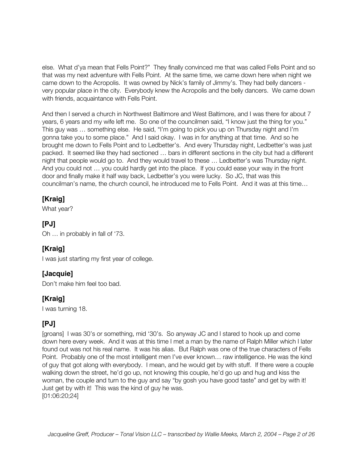else. What d'ya mean that Fells Point?" They finally convinced me that was called Fells Point and so that was my next adventure with Fells Point. At the same time, we came down here when night we came down to the Acropolis. It was owned by Nick's family of Jimmy's. They had belly dancers very popular place in the city. Everybody knew the Acropolis and the belly dancers. We came down with friends, acquaintance with Fells Point.

And then I served a church in Northwest Baltimore and West Baltimore, and I was there for about 7 years, 6 years and my wife left me. So one of the councilmen said, "I know just the thing for you." This guy was … something else. He said, "I'm going to pick you up on Thursday night and I'm gonna take you to some place." And I said okay. I was in for anything at that time. And so he brought me down to Fells Point and to Ledbetter's. And every Thursday night, Ledbetter's was just packed. It seemed like they had sectioned … bars in different sections in the city but had a different night that people would go to. And they would travel to these … Ledbetter's was Thursday night. And you could not … you could hardly get into the place. If you could ease your way in the front door and finally make it half way back, Ledbetter's you were lucky. So JC, that was this councilman's name, the church council, he introduced me to Fells Point. And it was at this time…

# **[Kraig]**

What year?

# **[PJ]**

Oh … in probably in fall of '73.

# **[Kraig]**

I was just starting my first year of college.

# **[Jacquie]**

Don't make him feel too bad.

# **[Kraig]**

I was turning 18.

# **[PJ]**

[groans] I was 30's or something, mid '30's. So anyway JC and I stared to hook up and come down here every week. And it was at this time I met a man by the name of Ralph Miller which I later found out was not his real name. It was his alias. But Ralph was one of the true characters of Fells Point. Probably one of the most intelligent men I've ever known… raw intelligence. He was the kind of guy that got along with everybody. I mean, and he would get by with stuff. If there were a couple walking down the street, he'd go up, not knowing this couple, he'd go up and hug and kiss the woman, the couple and turn to the guy and say "by gosh you have good taste" and get by with it! Just get by with it! This was the kind of guy he was. [01:06:20;24]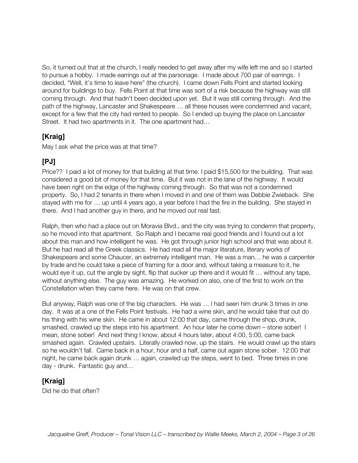So, it turned out that at the church, I really needed to get away after my wife left me and so I started to pursue a hobby. I made earrings out at the parsonage. I made about 700 pair of earrings. I decided, "Well, it's time to leave here" (the church). I came down Fells Point and started looking around for buildings to buy. Fells Point at that time was sort of a risk because the highway was still coming through. And that hadn't been decided upon yet. But it was still coming through. And the path of the highway, Lancaster and Shakespeare … all these houses were condemned and vacant, except for a few that the city had rented to people. So I ended up buying the place on Lancaster Street. It had two apartments in it. The one apartment had…

#### **[Kraig]**

May I ask what the price was at that time?

# **[PJ]**

Price?? I paid a lot of money for that building at that time. I paid \$15,500 for the building. That was considered a good bit of money for that time. But it was not in the lane of the highway. It would have been right on the edge of the highway coming through. So that was not a condemned property. So, I had 2 tenants in there when I moved in and one of them was Debbie Zwieback. She stayed with me for … up until 4 years ago, a year before I had the fire in the building. She stayed in there. And I had another guy in there, and he moved out real fast.

Ralph, then who had a place out on Moravia Blvd., and the city was trying to condemn that property, so he moved into that apartment. So Ralph and I became real good friends and I found out a lot about this man and how intelligent he was. He got through junior high school and that was about it. But he had read all the Greek classics. He had read all the major literature, literary works of Shakespeare and some Chaucer, an extremely intelligent man. He was a man… he was a carpenter by trade and he could take a piece of framing for a door and, without taking a measure to it, he would eye it up, cut the angle by sight, flip that sucker up there and it would fit … without any tape, without anything else. The guy was amazing. He worked on also, one of the first to work on the Constellation when they came here. He was on that crew.

But anyway, Ralph was one of the big characters. He was … I had seen him drunk 3 times in one day. It was at a one of the Fells Point festivals. He had a wine skin, and he would take that out do his thing with his wine skin. He came in about 12:00 that day, came through the shop, drunk, smashed, crawled up the steps into his apartment. An hour later he come down – stone sober! I mean, stone sober! And next thing I know, about 4 hours later, about 4:00, 5:00, came back smashed again. Crawled upstairs. Literally crawled now, up the stairs. He would crawl up the stairs so he wouldn't fall. Came back in a hour, hour and a half, came out again stone sober. 12:00 that night, he came back again drunk … again, crawled up the steps, went to bed. Three times in one day - drunk. Fantastic guy and…

# **[Kraig]**

Did he do that often?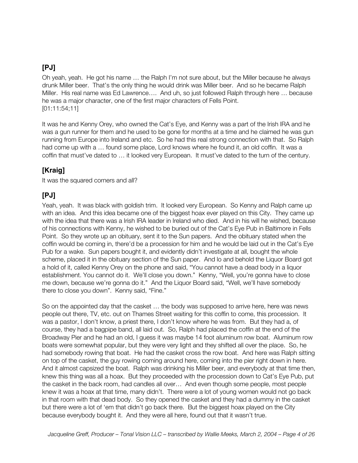Oh yeah, yeah. He got his name … the Ralph I'm not sure about, but the Miller because he always drunk Miller beer. That's the only thing he would drink was Miller beer. And so he became Ralph Miller. His real name was Ed Lawrence…. And uh, so just followed Ralph through here … because he was a major character, one of the first major characters of Fells Point. [01:11:54;11]

It was he and Kenny Orey, who owned the Cat's Eye, and Kenny was a part of the Irish IRA and he was a gun runner for them and he used to be gone for months at a time and he claimed he was gun running from Europe into Ireland and etc. So he had this real strong connection with that. So Ralph had come up with a ... found some place, Lord knows where he found it, an old coffin. It was a coffin that must've dated to … it looked very European. It must've dated to the turn of the century.

# **[Kraig]**

It was the squared corners and all?

# **[PJ]**

Yeah, yeah. It was black with goldish trim. It looked very European. So Kenny and Ralph came up with an idea. And this idea became one of the biggest hoax ever played on this City. They came up with the idea that there was a Irish IRA leader in Ireland who died. And in his will he wished, because of his connections with Kenny, he wished to be buried out of the Cat's Eye Pub in Baltimore in Fells Point. So they wrote up an obituary, sent it to the Sun papers. And the obituary stated when the coffin would be coming in, there'd be a procession for him and he would be laid out in the Cat's Eye Pub for a wake. Sun papers bought it, and evidently didn't investigate at all, bought the whole scheme, placed it in the obituary section of the Sun paper. And lo and behold the Liquor Board got a hold of it, called Kenny Orey on the phone and said, "You cannot have a dead body in a liquor establishment. You cannot do it. We'll close you down." Kenny, "Well, you're gonna have to close me down, because we're gonna do it." And the Liquor Board said, "Well, we'll have somebody there to close you down". Kenny said, "Fine."

So on the appointed day that the casket … the body was supposed to arrive here, here was news people out there, TV, etc. out on Thames Street waiting for this coffin to come, this procession. It was a pastor, I don't know, a priest there, I don't know where he was from. But they had a, of course, they had a bagpipe band, all laid out. So, Ralph had placed the coffin at the end of the Broadway Pier and he had an old, I guess it was maybe 14 foot aluminum row boat. Aluminum row boats were somewhat popular, but they were very light and they shifted all over the place. So, he had somebody rowing that boat. He had the casket cross the row boat. And here was Ralph sitting on top of the casket, the guy rowing coming around here, coming into the pier right down in here. And it almost capsized the boat. Ralph was drinking his Miller beer, and everybody at that time then, knew this thing was all a hoax. But they proceeded with the procession down to Cat's Eye Pub, put the casket in the back room, had candles all over… And even though some people, most people knew it was a hoax at that time, many didn't. There were a lot of young women would not go back in that room with that dead body. So they opened the casket and they had a dummy in the casket but there were a lot of 'em that didn't go back there. But the biggest hoax played on the City because everybody bought it. And they were all here, found out that it wasn't true.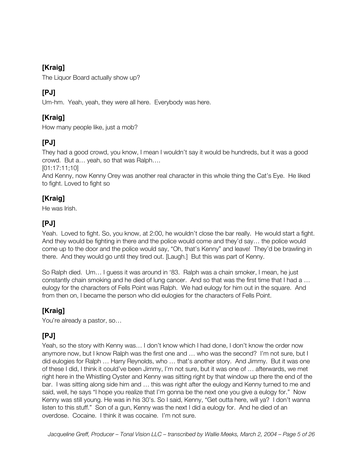# **[Kraig]**

The Liquor Board actually show up?

# **[PJ]**

Um-hm. Yeah, yeah, they were all here. Everybody was here.

# **[Kraig]**

How many people like, just a mob?

# **[PJ]**

They had a good crowd, you know, I mean I wouldn't say it would be hundreds, but it was a good crowd. But a… yeah, so that was Ralph….

[01:17:11;10]

And Kenny, now Kenny Orey was another real character in this whole thing the Cat's Eye. He liked to fight. Loved to fight so

# **[Kraig]**

He was Irish.

# **[PJ]**

Yeah. Loved to fight. So, you know, at 2:00, he wouldn't close the bar really. He would start a fight. And they would be fighting in there and the police would come and they'd say… the police would come up to the door and the police would say, "Oh, that's Kenny" and leave! They'd be brawling in there. And they would go until they tired out. [Laugh.] But this was part of Kenny.

So Ralph died. Um… I guess it was around in '83. Ralph was a chain smoker, I mean, he just constantly chain smoking and he died of lung cancer. And so that was the first time that I had a … eulogy for the characters of Fells Point was Ralph. We had eulogy for him out in the square. And from then on, I became the person who did eulogies for the characters of Fells Point.

# **[Kraig]**

You're already a pastor, so…

# **[PJ]**

Yeah, so the story with Kenny was… I don't know which I had done, I don't know the order now anymore now, but I know Ralph was the first one and … who was the second? I'm not sure, but I did eulogies for Ralph … Harry Reynolds, who … that's another story. And Jimmy. But it was one of these I did, I think it could've been Jimmy, I'm not sure, but it was one of … afterwards, we met right here in the Whistling Oyster and Kenny was sitting right by that window up there the end of the bar. I was sitting along side him and … this was right after the eulogy and Kenny turned to me and said, well, he says "I hope you realize that I'm gonna be the next one you give a eulogy for." Now Kenny was still young. He was in his 30's. So I said, Kenny, "Get outta here, will ya? I don't wanna listen to this stuff." Son of a gun, Kenny was the next I did a eulogy for. And he died of an overdose. Cocaine. I think it was cocaine. I'm not sure.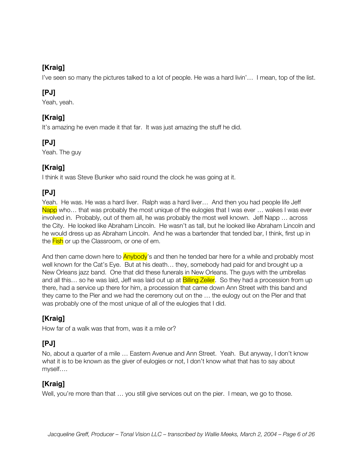# **[Kraig]**

I've seen so many the pictures talked to a lot of people. He was a hard livin'… I mean, top of the list.

# **[PJ]**

Yeah, yeah.

# **[Kraig]**

It's amazing he even made it that far. It was just amazing the stuff he did.

# **[PJ]**

Yeah. The guy

# **[Kraig]**

I think it was Steve Bunker who said round the clock he was going at it.

# **[PJ]**

Yeah. He was. He was a hard liver. Ralph was a hard liver… And then you had people life Jeff Napp who... that was probably the most unique of the eulogies that I was ever ... wakes I was ever involved in. Probably, out of them all, he was probably the most well known. Jeff Napp … across the City. He looked like Abraham Lincoln. He wasn't as tall, but he looked like Abraham Lincoln and he would dress up as Abraham Lincoln. And he was a bartender that tended bar, I think, first up in the Fish or up the Classroom, or one of em.

And then came down here to **Anybody**'s and then he tended bar here for a while and probably most well known for the Cat's Eye. But at his death… they, somebody had paid for and brought up a New Orleans jazz band. One that did these funerals in New Orleans. The guys with the umbrellas and all this... so he was laid, Jeff was laid out up at **Billing Zeiler**. So they had a procession from up there, had a service up there for him, a procession that came down Ann Street with this band and they came to the Pier and we had the ceremony out on the … the eulogy out on the Pier and that was probably one of the most unique of all of the eulogies that I did.

# **[Kraig]**

How far of a walk was that from, was it a mile or?

# **[PJ]**

No, about a quarter of a mile … Eastern Avenue and Ann Street. Yeah. But anyway, I don't know what it is to be known as the giver of eulogies or not, I don't know what that has to say about myself….

# **[Kraig]**

Well, you're more than that ... you still give services out on the pier. I mean, we go to those.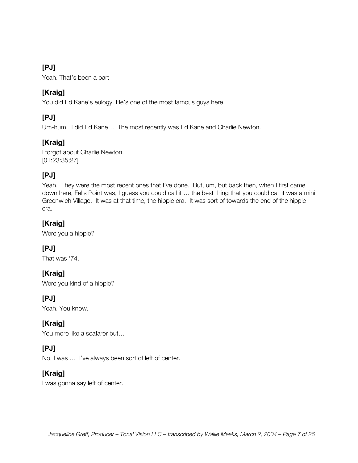Yeah. That's been a part

#### **[Kraig]**

You did Ed Kane's eulogy. He's one of the most famous guys here.

# **[PJ]**

Um-hum. I did Ed Kane… The most recently was Ed Kane and Charlie Newton.

# **[Kraig]**

I forgot about Charlie Newton. [01:23:35;27]

# **[PJ]**

Yeah. They were the most recent ones that I've done. But, um, but back then, when I first came down here, Fells Point was, I guess you could call it … the best thing that you could call it was a mini Greenwich Village. It was at that time, the hippie era. It was sort of towards the end of the hippie era.

# **[Kraig]**

Were you a hippie?

# **[PJ]**

That was '74.

# **[Kraig]**

Were you kind of a hippie?

# **[PJ]**

Yeah. You know.

#### **[Kraig]**

You more like a seafarer but…

# **[PJ]**

No, I was … I've always been sort of left of center.

# **[Kraig]**

I was gonna say left of center.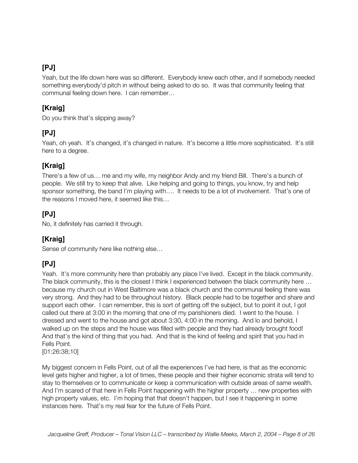Yeah, but the life down here was so different. Everybody knew each other, and if somebody needed something everybody'd pitch in without being asked to do so. It was that community feeling that communal feeling down here. I can remember…

# **[Kraig]**

Do you think that's slipping away?

# **[PJ]**

Yeah, oh yeah. It's changed, it's changed in nature. It's become a little more sophisticated. It's still here to a degree.

# **[Kraig]**

There's a few of us… me and my wife, my neighbor Andy and my friend Bill. There's a bunch of people. We still try to keep that alive. Like helping and going to things, you know, try and help sponsor something, the band I'm playing with…. It needs to be a lot of involvement. That's one of the reasons I moved here, it seemed like this…

# **[PJ]**

No, it definitely has carried it through.

# **[Kraig]**

Sense of community here like nothing else…

# **[PJ]**

Yeah. It's more community here than probably any place I've lived. Except in the black community. The black community, this is the closest I think I experienced between the black community here … because my church out in West Baltimore was a black church and the communal feeling there was very strong. And they had to be throughout history. Black people had to be together and share and support each other. I can remember, this is sort of getting off the subject, but to point it out, I got called out there at 3:00 in the morning that one of my parishioners died. I went to the house. I dressed and went to the house and got about 3:30, 4:00 in the morning. And lo and behold, I walked up on the steps and the house was filled with people and they had already brought food! And that's the kind of thing that you had. And that is the kind of feeling and spirit that you had in Fells Point.

[01:26:38;10]

My biggest concern in Fells Point, out of all the experiences I've had here, is that as the economic level gets higher and higher, a lot of times, these people and their higher economic strata will tend to stay to themselves or to communicate or keep a communication with outside areas of same wealth. And I'm scared of that here in Fells Point happening with the higher property … new properties with high property values, etc. I'm hoping that that doesn't happen, but I see it happening in some instances here. That's my real fear for the future of Fells Point.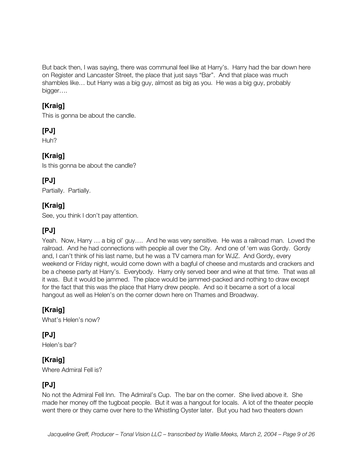But back then, I was saying, there was communal feel like at Harry's. Harry had the bar down here on Register and Lancaster Street, the place that just says "Bar". And that place was much shambles like… but Harry was a big guy, almost as big as you. He was a big guy, probably bigger….

# **[Kraig]**

This is gonna be about the candle.

# **[PJ]**

Huh?

# **[Kraig]**

Is this gonna be about the candle?

# **[PJ]**

Partially. Partially.

# **[Kraig]**

See, you think I don't pay attention.

# **[PJ]**

Yeah. Now, Harry … a big ol' guy…. And he was very sensitive. He was a railroad man. Loved the railroad. And he had connections with people all over the City. And one of 'em was Gordy. Gordy and, I can't think of his last name, but he was a TV camera man for WJZ. And Gordy, every weekend or Friday night, would come down with a bagful of cheese and mustards and crackers and be a cheese party at Harry's. Everybody. Harry only served beer and wine at that time. That was all it was. But it would be jammed. The place would be jammed-packed and nothing to draw except for the fact that this was the place that Harry drew people. And so it became a sort of a local hangout as well as Helen's on the corner down here on Thames and Broadway.

# **[Kraig]**

What's Helen's now?

**[PJ]** Helen's bar?

# **[Kraig]**

Where Admiral Fell is?

# **[PJ]**

No not the Admiral Fell Inn. The Admiral's Cup. The bar on the corner. She lived above it. She made her money off the tugboat people. But it was a hangout for locals. A lot of the theater people went there or they came over here to the Whistling Oyster later. But you had two theaters down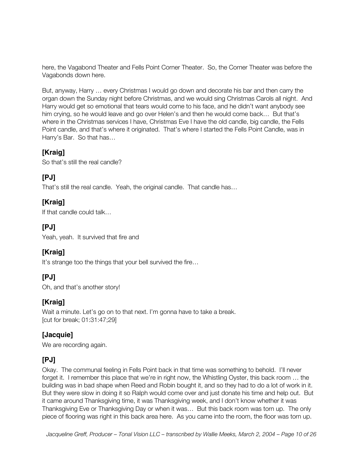here, the Vagabond Theater and Fells Point Corner Theater. So, the Corner Theater was before the Vagabonds down here.

But, anyway, Harry … every Christmas I would go down and decorate his bar and then carry the organ down the Sunday night before Christmas, and we would sing Christmas Carols all night. And Harry would get so emotional that tears would come to his face, and he didn't want anybody see him crying, so he would leave and go over Helen's and then he would come back… But that's where in the Christmas services I have, Christmas Eve I have the old candle, big candle, the Fells Point candle, and that's where it originated. That's where I started the Fells Point Candle, was in Harry's Bar. So that has…

#### **[Kraig]**

So that's still the real candle?

# **[PJ]**

That's still the real candle. Yeah, the original candle. That candle has…

# **[Kraig]**

If that candle could talk…

# **[PJ]**

Yeah, yeah. It survived that fire and

# **[Kraig]**

It's strange too the things that your bell survived the fire…

# **[PJ]**

Oh, and that's another story!

#### **[Kraig]**

Wait a minute. Let's go on to that next. I'm gonna have to take a break. [cut for break; 01:31:47;29]

#### **[Jacquie]**

We are recording again.

# **[PJ]**

Okay. The communal feeling in Fells Point back in that time was something to behold. I'll never forget it. I remember this place that we're in right now, the Whistling Oyster, this back room … the building was in bad shape when Reed and Robin bought it, and so they had to do a lot of work in it. But they were slow in doing it so Ralph would come over and just donate his time and help out. But it came around Thanksgiving time, it was Thanksgiving week, and I don't know whether it was Thanksgiving Eve or Thanksgiving Day or when it was… But this back room was torn up. The only piece of flooring was right in this back area here. As you came into the room, the floor was torn up.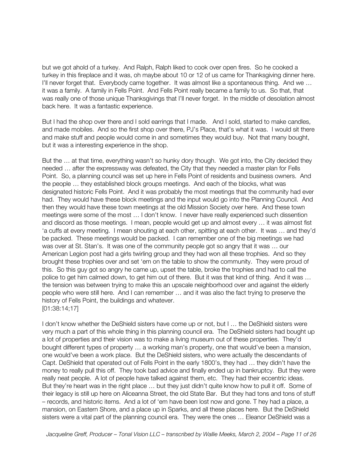but we got ahold of a turkey. And Ralph, Ralph liked to cook over open fires. So he cooked a turkey in this fireplace and it was, oh maybe about 10 or 12 of us came for Thanksgiving dinner here. I'll never forget that. Everybody came together. It was almost like a spontaneous thing. And we … it was a family. A family in Fells Point. And Fells Point really became a family to us. So that, that was really one of those unique Thanksgivings that I'll never forget. In the middle of desolation almost back here. It was a fantastic experience.

But I had the shop over there and I sold earrings that I made. And I sold, started to make candles, and made mobiles. And so the first shop over there, PJ's Place, that's what it was. I would sit there and make stuff and people would come in and sometimes they would buy. Not that many bought, but it was a interesting experience in the shop.

But the … at that time, everything wasn't so hunky dory though. We got into, the City decided they needed … after the expressway was defeated, the City that they needed a master plan for Fells Point. So, a planning council was set up here in Fells Point of residents and business owners. And the people … they established block groups meetings. And each of the blocks, what was designated historic Fells Point. And it was probably the most meetings that the community had ever had. They would have these block meetings and the input would go into the Planning Council. And then they would have these town meetings at the old Mission Society over here. And these town meetings were some of the most … I don't know. I never have really experienced such dissention and discord as those meetings. I mean, people would get up and almost every … it was almost fist 'a cuffs at every meeting. I mean shouting at each other, spitting at each other. It was … and they'd be packed. These meetings would be packed. I can remember one of the big meetings we had was over at St. Stan's. It was one of the community people got so angry that it was … our American Legion post had a girls twirling group and they had won all these trophies. And so they brought these trophies over and set 'em on the table to show the community. They were proud of this. So this guy got so angry he came up, upset the table, broke the trophies and had to call the police to get him calmed down, to get him out of there. But it was that kind of thing. And it was … the tension was between trying to make this an upscale neighborhood over and against the elderly people who were still here. And I can remember … and it was also the fact trying to preserve the history of Fells Point, the buildings and whatever. [01:38:14;17]

I don't know whether the DeShield sisters have come up or not, but I … the DeShield sisters were very much a part of this whole thing in this planning council era. The DeShield sisters had bought up a lot of properties and their vision was to make a living museum out of these properties. They'd bought different types of property … a working man's property, one that would've been a mansion, one would've been a work place. But the DeShield sisters, who were actually the descendants of Capt. DeShield that operated out of Fells Point in the early 1800's, they had … they didn't have the money to really pull this off. They took bad advice and finally ended up in bankruptcy. But they were really neat people. A lot of people have talked against them, etc. They had their eccentric ideas. But they're heart was in the right place … but they just didn't quite know how to pull it off. Some of their legacy is still up here on Aliceanna Street, the old State Bar. But they had tons and tons of stuff – records, and historic items. And a lot of 'em have been lost now and gone. T hey had a place, a mansion, on Eastern Shore, and a place up in Sparks, and all these places here. But the DeShield sisters were a vital part of the planning council era. They were the ones … Eleanor DeShield was a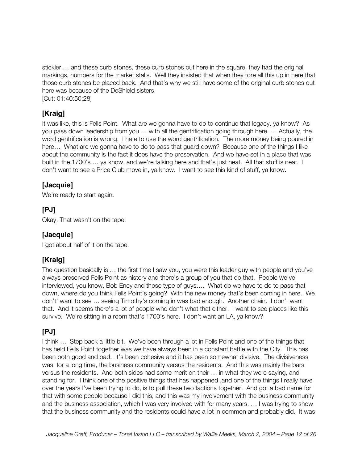stickler … and these curb stones, these curb stones out here in the square, they had the original markings, numbers for the market stalls. Well they insisted that when they tore all this up in here that those curb stones be placed back. And that's why we still have some of the original curb stones out here was because of the DeShield sisters.

[Cut; 01:40:50;28]

# **[Kraig]**

It was like, this is Fells Point. What are we gonna have to do to continue that legacy, ya know? As you pass down leadership from you … with all the gentrification going through here … Actually, the word gentrification is wrong. I hate to use the word gentrification. The more money being poured in here… What are we gonna have to do to pass that guard down? Because one of the things I like about the community is the fact it does have the preservation. And we have set in a place that was built in the 1700's … ya know, and we're talking here and that's just neat. All that stuff is neat. I don't want to see a Price Club move in, ya know. I want to see this kind of stuff, ya know.

# **[Jacquie]**

We're ready to start again.

#### **[PJ]**

Okay. That wasn't on the tape.

#### **[Jacquie]**

I got about half of it on the tape.

# **[Kraig]**

The question basically is … the first time I saw you, you were this leader guy with people and you've always preserved Fells Point as history and there's a group of you that do that. People we've interviewed, you know, Bob Eney and those type of guys…. What do we have to do to pass that down, where do you think Fells Point's going? With the new money that's been coming in here. We don't' want to see … seeing Timothy's coming in was bad enough. Another chain. I don't want that. And it seems there's a lot of people who don't what that either. I want to see places like this survive. We're sitting in a room that's 1700's here. I don't want an LA, ya know?

# **[PJ]**

I think … Step back a little bit. We've been through a lot in Fells Point and one of the things that has held Fells Point together was we have always been in a constant battle with the City. This has been both good and bad. It's been cohesive and it has been somewhat divisive. The divisiveness was, for a long time, the business community versus the residents. And this was mainly the bars versus the residents. And both sides had some merit on their … in what they were saying, and standing for. I think one of the positive things that has happened ,and one of the things I really have over the years I've been trying to do, is to pull these two factions together. And got a bad name for that with some people because I did this, and this was my involvement with the business community and the business association, which I was very involved with for many years. … I was trying to show that the business community and the residents could have a lot in common and probably did. It was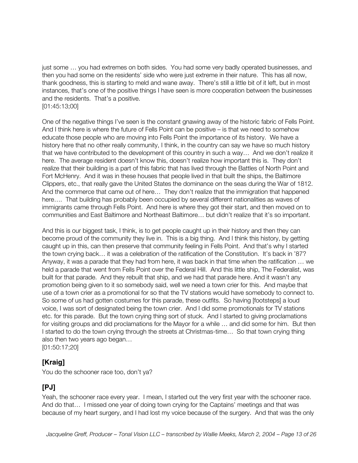just some … you had extremes on both sides. You had some very badly operated businesses, and then you had some on the residents' side who were just extreme in their nature. This has all now, thank goodness, this is starting to meld and wane away. There's still a little bit of it left, but in most instances, that's one of the positive things I have seen is more cooperation between the businesses and the residents. That's a positive. [01:45:13;00]

One of the negative things I've seen is the constant gnawing away of the historic fabric of Fells Point. And I think here is where the future of Fells Point can be positive – is that we need to somehow educate those people who are moving into Fells Point the importance of its history. We have a history here that no other really community, I think, in the country can say we have so much history that we have contributed to the development of this country in such a way… And we don't realize it here. The average resident doesn't know this, doesn't realize how important this is. They don't realize that their building is a part of this fabric that has lived through the Battles of North Point and Fort McHenry. And it was in these houses that people lived in that built the ships, the Baltimore Clippers, etc., that really gave the United States the dominance on the seas during the War of 1812. And the commerce that came out of here… They don't realize that the immigration that happened here…. That building has probably been occupied by several different nationalities as waves of immigrants came through Fells Point. And here is where they got their start, and then moved on to communities and East Baltimore and Northeast Baltimore… but didn't realize that it's so important.

And this is our biggest task, I think, is to get people caught up in their history and then they can become proud of the community they live in. This is a big thing. And I think this history, by getting caught up in this, can then preserve that community feeling in Fells Point. And that's why I started the town crying back… it was a celebration of the ratification of the Constitution. It's back in '87? Anyway, it was a parade that they had from here, it was back in that time when the ratification … we held a parade that went from Fells Point over the Federal Hill. And this little ship, The Federalist, was built for that parade. And they rebuilt that ship, and we had that parade here. And it wasn't any promotion being given to it so somebody said, well we need a town crier for this. And maybe that use of a town crier as a promotional for so that the TV stations would have somebody to connect to. So some of us had gotten costumes for this parade, these outfits. So having [footsteps] a loud voice, I was sort of designated being the town crier. And I did some promotionals for TV stations etc. for this parade. But the town crying thing sort of stuck. And I started to giving proclamations for visiting groups and did proclamations for the Mayor for a while … and did some for him. But then I started to do the town crying through the streets at Christmas-time… So that town crying thing also then two years ago began…

[01:50:17;20]

# **[Kraig]**

You do the schooner race too, don't ya?

# **[PJ]**

Yeah, the schooner race every year. I mean, I started out the very first year with the schooner race. And do that… I missed one year of doing town crying for the Captains' meetings and that was because of my heart surgery, and I had lost my voice because of the surgery. And that was the only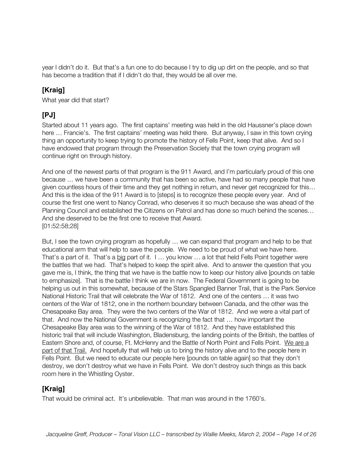year I didn't do it. But that's a fun one to do because I try to dig up dirt on the people, and so that has become a tradition that if I didn't do that, they would be all over me.

# **[Kraig]**

What year did that start?

# **[PJ]**

Started about 11 years ago. The first captains' meeting was held in the old Haussner's place down here … Francie's. The first captains' meeting was held there. But anyway, I saw in this town crying thing an opportunity to keep trying to promote the history of Fells Point, keep that alive. And so I have endowed that program through the Preservation Society that the town crying program will continue right on through history.

And one of the newest parts of that program is the 911 Award, and I'm particularly proud of this one because … we have been a community that has been so active, have had so many people that have given countless hours of their time and they get nothing in return, and never get recognized for this… And this is the idea of the 911 Award is to [steps] is to recognize these people every year. And of course the first one went to Nancy Conrad, who deserves it so much because she was ahead of the Planning Council and established the Citizens on Patrol and has done so much behind the scenes… And she deserved to be the first one to receive that Award. [01:52:58;28]

But, I see the town crying program as hopefully … we can expand that program and help to be that educational arm that will help to save the people. We need to be proud of what we have here. That's a part of it. That's a big part of it. I ... you know ... a lot that held Fells Point together were the battles that we had. That's helped to keep the spirit alive. And to answer the question that you gave me is, I think, the thing that we have is the battle now to keep our history alive [pounds on table to emphasize]. That is the battle I think we are in now. The Federal Government is going to be helping us out in this somewhat, because of the Stars Spangled Banner Trail, that is the Park Service National Historic Trail that will celebrate the War of 1812. And one of the centers … it was two centers of the War of 1812, one in the northern boundary between Canada, and the other was the Chesapeake Bay area. They were the two centers of the War of 1812. And we were a vital part of that. And now the National Government is recognizing the fact that … how important the Chesapeake Bay area was to the winning of the War of 1812. And they have established this historic trail that will include Washington, Bladensburg, the landing points of the British, the battles of Eastern Shore and, of course, Ft. McHenry and the Battle of North Point and Fells Point. We are a part of that Trail. And hopefully that will help us to bring the history alive and to the people here in Fells Point. But we need to educate our people here [pounds on table again] so that they don't destroy, we don't destroy what we have in Fells Point. We don't destroy such things as this back room here in the Whistling Oyster.

# **[Kraig]**

That would be criminal act. It's unbelievable. That man was around in the 1760's.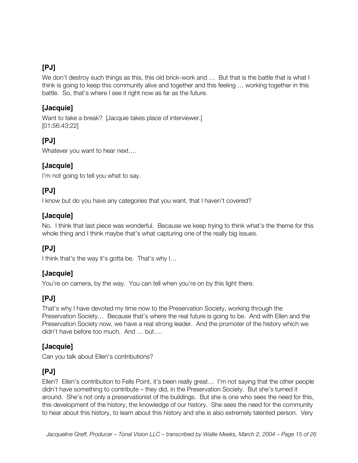We don't destroy such things as this, this old brick-work and ... But that is the battle that is what I think is going to keep this community alive and together and this feeling … working together in this battle. So, that's where I see it right now as far as the future.

#### **[Jacquie]**

Want to take a break? [Jacquie takes place of interviewer.] [01:56:43;22]

# **[PJ]**

Whatever you want to hear next....

# **[Jacquie]**

I'm not going to tell you what to say.

# **[PJ]**

I know but do you have any categories that you want, that I haven't covered?

#### **[Jacquie]**

No. I think that last piece was wonderful. Because we keep trying to think what's the theme for this whole thing and I think maybe that's what capturing one of the really big issues.

# **[PJ]**

I think that's the way it's gotta be. That's why I...

#### **[Jacquie]**

You're on camera, by the way. You can tell when you're on by this light there.

# **[PJ]**

That's why I have devoted my time now to the Preservation Society, working through the Preservation Society… Because that's where the real future is going to be. And with Ellen and the Preservation Society now, we have a real strong leader. And the promoter of the history which we didn't have before too much. And … but….

#### **[Jacquie]**

Can you talk about Ellen's contributions?

# **[PJ]**

Ellen? Ellen's contribution to Fells Point, it's been really great… I'm not saying that the other people didn't have something to contribute – they did, in the Preservation Society. But she's turned it around. She's not only a preservationist of the buildings. But she is one who sees the need for this, this development of the history, the knowledge of our history. She sees the need for the community to hear about this history, to learn about this history and she is also extremely talented person. Very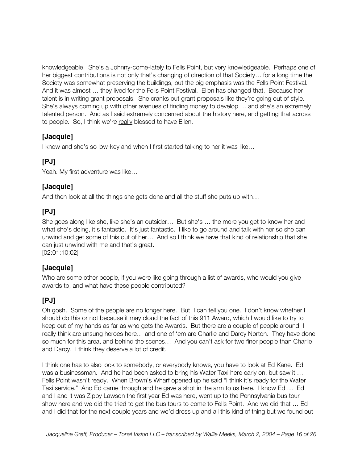knowledgeable. She's a Johnny-come-lately to Fells Point, but very knowledgeable. Perhaps one of her biggest contributions is not only that's changing of direction of that Society… for a long time the Society was somewhat preserving the buildings, but the big emphasis was the Fells Point Festival. And it was almost … they lived for the Fells Point Festival. Ellen has changed that. Because her talent is in writing grant proposals. She cranks out grant proposals like they're going out of style. She's always coming up with other avenues of finding money to develop … and she's an extremely talented person. And as I said extremely concerned about the history here, and getting that across to people. So, I think we're really blessed to have Ellen.

# **[Jacquie]**

I know and she's so low-key and when I first started talking to her it was like…

# **[PJ]**

Yeah. My first adventure was like…

# **[Jacquie]**

And then look at all the things she gets done and all the stuff she puts up with…

# **[PJ]**

She goes along like she, like she's an outsider… But she's … the more you get to know her and what she's doing, it's fantastic. It's just fantastic. I like to go around and talk with her so she can unwind and get some of this out of her… And so I think we have that kind of relationship that she can just unwind with me and that's great. [02:01:10;02]

#### **[Jacquie]**

Who are some other people, if you were like going through a list of awards, who would you give awards to, and what have these people contributed?

# **[PJ]**

Oh gosh. Some of the people are no longer here. But, I can tell you one. I don't know whether I should do this or not because it may cloud the fact of this 911 Award, which I would like to try to keep out of my hands as far as who gets the Awards. But there are a couple of people around, I really think are unsung heroes here… and one of 'em are Charlie and Darcy Norton. They have done so much for this area, and behind the scenes… And you can't ask for two finer people than Charlie and Darcy. I think they deserve a lot of credit.

I think one has to also look to somebody, or everybody knows, you have to look at Ed Kane. Ed was a businessman. And he had been asked to bring his Water Taxi here early on, but saw it ... Fells Point wasn't ready. When Brown's Wharf opened up he said "I think it's ready for the Water Taxi service." And Ed came through and he gave a shot in the arm to us here. I know Ed … Ed and I and it was Zippy Lawson the first year Ed was here, went up to the Pennsylvania bus tour show here and we did the tried to get the bus tours to come to Fells Point. And we did that … Ed and I did that for the next couple years and we'd dress up and all this kind of thing but we found out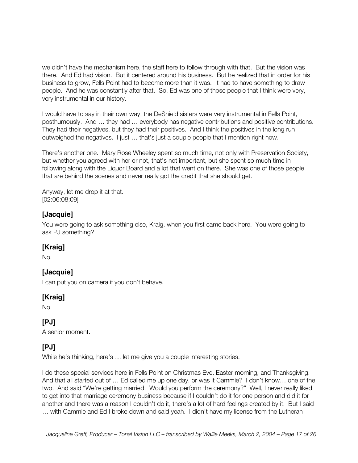we didn't have the mechanism here, the staff here to follow through with that. But the vision was there. And Ed had vision. But it centered around his business. But he realized that in order for his business to grow, Fells Point had to become more than it was. It had to have something to draw people. And he was constantly after that. So, Ed was one of those people that I think were very, very instrumental in our history.

I would have to say in their own way, the DeShield sisters were very instrumental in Fells Point, posthumously. And … they had … everybody has negative contributions and positive contributions. They had their negatives, but they had their positives. And I think the positives in the long run outweighed the negatives. I just … that's just a couple people that I mention right now.

There's another one. Mary Rose Wheeley spent so much time, not only with Preservation Society, but whether you agreed with her or not, that's not important, but she spent so much time in following along with the Liquor Board and a lot that went on there. She was one of those people that are behind the scenes and never really got the credit that she should get.

Anyway, let me drop it at that. [02:06:08;09]

#### **[Jacquie]**

You were going to ask something else, Kraig, when you first came back here. You were going to ask PJ something?

#### **[Kraig]**

No.

# **[Jacquie]**

I can put you on camera if you don't behave.

# **[Kraig]**

No

# **[PJ]**

A senior moment.

# **[PJ]**

While he's thinking, here's … let me give you a couple interesting stories.

I do these special services here in Fells Point on Christmas Eve, Easter morning, and Thanksgiving. And that all started out of … Ed called me up one day, or was it Cammie? I don't know… one of the two. And said "We're getting married. Would you perform the ceremony?" Well, I never really liked to get into that marriage ceremony business because if I couldn't do it for one person and did it for another and there was a reason I couldn't do it, there's a lot of hard feelings created by it. But I said … with Cammie and Ed I broke down and said yeah. I didn't have my license from the Lutheran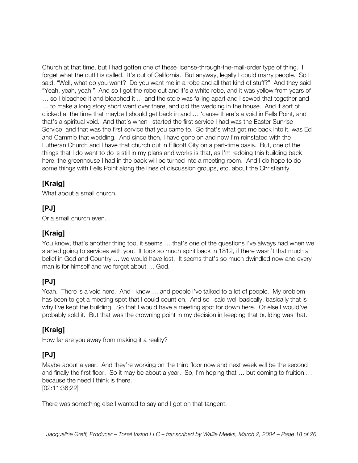Church at that time, but I had gotten one of these license-through-the-mail-order type of thing. I forget what the outfit is called. It's out of California. But anyway, legally I could marry people. So I said, "Well, what do you want? Do you want me in a robe and all that kind of stuff?" And they said "Yeah, yeah, yeah." And so I got the robe out and it's a white robe, and it was yellow from years of … so I bleached it and bleached it … and the stole was falling apart and I sewed that together and … to make a long story short went over there, and did the wedding in the house. And it sort of clicked at the time that maybe I should get back in and … 'cause there's a void in Fells Point, and that's a spiritual void. And that's when I started the first service I had was the Easter Sunrise Service, and that was the first service that you came to. So that's what got me back into it, was Ed and Cammie that wedding. And since then, I have gone on and now I'm reinstated with the Lutheran Church and I have that church out in Ellicott City on a part-time basis. But, one of the things that I do want to do is still in my plans and works is that, as I'm redoing this building back here, the greenhouse I had in the back will be turned into a meeting room. And I do hope to do some things with Fells Point along the lines of discussion groups, etc. about the Christianity.

# **[Kraig]**

What about a small church.

# **[PJ]**

Or a small church even.

# **[Kraig]**

You know, that's another thing too, it seems … that's one of the questions I've always had when we started going to services with you. It took so much spirit back in 1812, if there wasn't that much a belief in God and Country … we would have lost. It seems that's so much dwindled now and every man is for himself and we forget about … God.

# **[PJ]**

Yeah. There is a void here. And I know … and people I've talked to a lot of people. My problem has been to get a meeting spot that I could count on. And so I said well basically, basically that is why I've kept the building. So that I would have a meeting spot for down here. Or else I would've probably sold it. But that was the crowning point in my decision in keeping that building was that.

# **[Kraig]**

How far are you away from making it a reality?

# **[PJ]**

Maybe about a year. And they're working on the third floor now and next week will be the second and finally the first floor. So it may be about a year. So, I'm hoping that … but coming to fruition … because the need I think is there.

[02:11:36;22]

There was something else I wanted to say and I got on that tangent.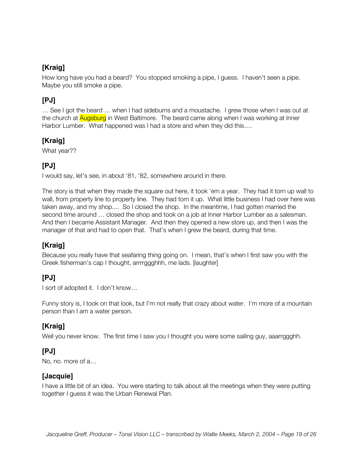# **[Kraig]**

How long have you had a beard? You stopped smoking a pipe, I guess. I haven't seen a pipe. Maybe you still smoke a pipe.

# **[PJ]**

… See I got the beard … when I had sideburns and a moustache. I grew those when I was out at the church at **Augsburg** in West Baltimore. The beard came along when I was working at Inner Harbor Lumber. What happened was I had a store and when they did this....

# **[Kraig]**

What year??

# **[PJ]**

I would say, let's see, in about '81, '82, somewhere around in there.

The story is that when they made the square out here, it took 'em a year. They had it torn up wall to wall, from property line to property line. They had torn it up. What little business I had over here was taken away, and my shop.... So I closed the shop. In the meantime, I had gotten married the second time around … closed the shop and took on a job at Inner Harbor Lumber as a salesman. And then I became Assistant Manager. And then they opened a new store up, and then I was the manager of that and had to open that. That's when I grew the beard, during that time.

# **[Kraig]**

Because you really have that seafaring thing going on. I mean, that's when I first saw you with the Greek fisherman's cap I thought, arrrrggghhh, me lads. [laughter]

# **[PJ]**

I sort of adopted it. I don't know…

Funny story is, I took on that look, but I'm not really that crazy about water. I'm more of a mountain person than I am a water person.

# **[Kraig]**

Well you never know. The first time I saw you I thought you were some sailing guy, aaarrggghh.

# **[PJ]**

No, no. more of a…

#### **[Jacquie]**

I have a little bit of an idea. You were starting to talk about all the meetings when they were putting together I guess it was the Urban Renewal Plan.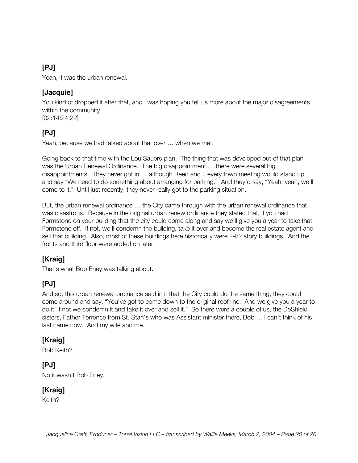Yeah, it was the urban renewal.

#### **[Jacquie]**

You kind of dropped it after that, and I was hoping you tell us more about the major disagreements within the community. [02:14:24;22]

# **[PJ]**

Yeah, because we had talked about that over … when we met.

Going back to that time with the Lou Sauers plan. The thing that was developed out of that plan was the Urban Renewal Ordinance. The big disappointment … there were several big disappointments. They never got in … although Reed and I, every town meeting would stand up and say "We need to do something about arranging for parking." And they'd say, "Yeah, yeah, we'll come to it." Until just recently, they never really got to the parking situation.

But, the urban renewal ordinance … the City came through with the urban renewal ordinance that was disastrous. Because in the original urban renew ordinance they stated that, if you had Formstone on your building that the city could come along and say we'll give you a year to take that Formstone off. If not, we'll condemn the building, take it over and become the real estate agent and sell that building. Also, most of these buildings here historically were 2-l/2 story buildings. And the fronts and third floor were added on later.

# **[Kraig]**

That's what Bob Eney was talking about.

# **[PJ]**

And so, this urban renewal ordinance said in it that the City could do the same thing, they could come around and say, "You've got to come down to the original roof line. And we give you a year to do it, if not we condemn it and take it over and sell it." So there were a couple of us, the DeShield sisters, Father Terrence from St. Stan's who was Assistant minister there, Bob … I can't think of his last name now. And my wife and me.

# **[Kraig]**

Bob Keith?

#### **[PJ]**

No it wasn't Bob Eney.

#### **[Kraig]**

Keith?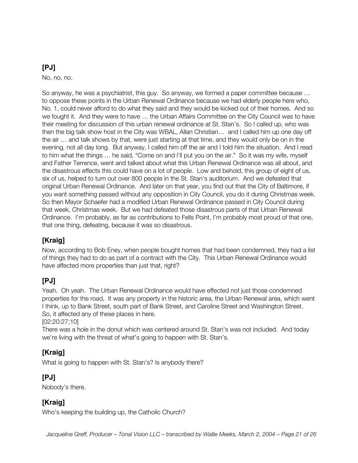No, no, no.

So anyway, he was a psychiatrist, this guy. So anyway, we formed a paper committee because … to oppose these points in the Urban Renewal Ordinance because we had elderly people here who, No. 1, could never afford to do what they said and they would be kicked out of their homes. And so we fought it. And they were to have … the Urban Affairs Committee on the City Council was to have their meeting for discussion of this urban renewal ordinance at St. Stan's. So I called up, who was then the big talk show host in the City was WBAL, Allan Christian… and I called him up one day off the air … and talk shows by that, were just starting at that time, and they would only be on in the evening, not all day long. But anyway, I called him off the air and I told him the situation. And I read to him what the things … he said, "Come on and I'll put you on the air." So it was my wife, myself and Father Terrence, went and talked about what this Urban Renewal Ordinance was all about, and the disastrous effects this could have on a lot of people. Low and behold, this group of eight of us, six of us, helped to turn out over 800 people in the St. Stan's auditorium. And we defeated that original Urban Renewal Ordinance. And later on that year, you find out that the City of Baltimore, if you want something passed without any opposition in City Council, you do it during Christmas week. So then Mayor Schaefer had a modified Urban Renewal Ordinance passed in City Council during that week, Christmas week. But we had defeated those disastrous parts of that Urban Renewal Ordinance. I'm probably, as far as contributions to Fells Point, I'm probably most proud of that one, that one thing, defeating, because it was so disastrous.

# **[Kraig]**

Now, according to Bob Eney, when people bought homes that had been condemned, they had a list of things they had to do as part of a contract with the City. This Urban Renewal Ordinance would have affected more properties than just that, right?

# **[PJ]**

Yeah. Oh yeah. The Urban Renewal Ordinance would have effected not just those condemned properties for the road, It was any property in the historic area, the Urban Renewal area, which went I think, up to Bank Street, south part of Bank Street, and Caroline Street and Washington Street. So, it affected any of these places in here.

[02:20:27;10]

There was a hole in the donut which was centered around St. Stan's was not included. And today we're living with the threat of what's going to happen with St. Stan's.

# **[Kraig]**

What is going to happen with St. Stan's? Is anybody there?

# **[PJ]**

Nobody's there.

# **[Kraig]**

Who's keeping the building up, the Catholic Church?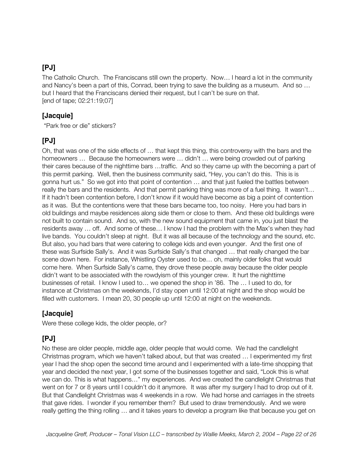The Catholic Church. The Franciscans still own the property. Now… I heard a lot in the community and Nancy's been a part of this, Conrad, been trying to save the building as a museum. And so … but I heard that the Franciscans denied their request, but I can't be sure on that. [end of tape; 02:21:19;07]

#### **[Jacquie]**

"Park free or die" stickers?

# **[PJ]**

Oh, that was one of the side effects of … that kept this thing, this controversy with the bars and the homeowners … Because the homeowners were … didn't … were being crowded out of parking their cares because of the nighttime bars …traffic. And so they came up with the becoming a part of this permit parking. Well, then the business community said, "Hey, you can't do this. This is is gonna hurt us." So we got into that point of contention … and that just fueled the battles between really the bars and the residents. And that permit parking thing was more of a fuel thing. It wasn't… If it hadn't been contention before, I don't know if it would have become as big a point of contention as it was. But the contentions were that these bars became too, too noisy. Here you had bars in old buildings and maybe residences along side them or close to them. And these old buildings were not built to contain sound. And so, with the new sound equipment that came in, you just blast the residents away … off. And some of these… I know I had the problem with the Max's when they had live bands. You couldn't sleep at night. But it was all because of the technology and the sound, etc. But also, you had bars that were catering to college kids and even younger. And the first one of these was Surfside Sally's. And it was Surfside Sally's that changed … that really changed the bar scene down here. For instance, Whistling Oyster used to be… oh, mainly older folks that would come here. When Surfside Sally's came, they drove these people away because the older people didn't want to be associated with the rowdyism of this younger crew. It hurt the nighttime businesses of retail. I know I used to… we opened the shop in '86. The … I used to do, for instance at Christmas on the weekends, I'd stay open until 12:00 at night and the shop would be filled with customers. I mean 20, 30 people up until 12:00 at night on the weekends.

# **[Jacquie]**

Were these college kids, the older people, or?

# **[PJ]**

No these are older people, middle age, older people that would come. We had the candlelight Christmas program, which we haven't talked about, but that was created … I experimented my first year I had the shop open the second time around and I experimented with a late-time shopping that year and decided the next year, I got some of the businesses together and said, "Look this is what we can do. This is what happens…" my experiences. And we created the candlelight Christmas that went on for 7 or 8 years until I couldn't do it anymore. It was after my surgery I had to drop out of it. But that Candlelight Christmas was 4 weekends in a row. We had horse and carriages in the streets that gave rides. I wonder if you remember them? But used to draw tremendously. And we were really getting the thing rolling … and it takes years to develop a program like that because you get on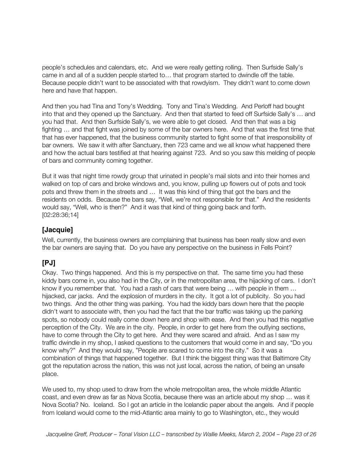people's schedules and calendars, etc. And we were really getting rolling. Then Surfside Sally's came in and all of a sudden people started to… that program started to dwindle off the table. Because people didn't want to be associated with that rowdyism. They didn't want to come down here and have that happen.

And then you had Tina and Tony's Wedding. Tony and Tina's Wedding. And Perloff had bought into that and they opened up the Sanctuary. And then that started to feed off Surfside Sally's … and you had that. And then Surfside Sally's, we were able to get closed. And then that was a big fighting … and that fight was joined by some of the bar owners here. And that was the first time that that has ever happened, that the business community started to fight some of that irresponsibility of bar owners. We saw it with after Sanctuary, then 723 came and we all know what happened there and how the actual bars testified at that hearing against 723. And so you saw this melding of people of bars and community coming together.

But it was that night time rowdy group that urinated in people's mail slots and into their homes and walked on top of cars and broke windows and, you know, pulling up flowers out of pots and took pots and threw them in the streets and … It was this kind of thing that got the bars and the residents on odds. Because the bars say, "Well, we're not responsible for that." And the residents would say, "Well, who is then?" And it was that kind of thing going back and forth. [02:28:36;14]

#### **[Jacquie]**

Well, currently, the business owners are complaining that business has been really slow and even the bar owners are saying that. Do you have any perspective on the business in Fells Point?

# **[PJ]**

Okay. Two things happened. And this is my perspective on that. The same time you had these kiddy bars come in, you also had in the City, or in the metropolitan area, the hijacking of cars. I don't know if you remember that. You had a rash of cars that were being … with people in them … hijacked, car jacks. And the explosion of murders in the city. It got a lot of publicity. So you had two things. And the other thing was parking. You had the kiddy bars down here that the people didn't want to associate with, then you had the fact that the bar traffic was taking up the parking spots, so nobody could really come down here and shop with ease. And then you had this negative perception of the City. We are in the city. People, in order to get here from the outlying sections, have to come through the City to get here. And they were scared and afraid. And as I saw my traffic dwindle in my shop, I asked questions to the customers that would come in and say, "Do you know why?" And they would say, "People are scared to come into the city." So it was a combination of things that happened together. But I think the biggest thing was that Baltimore City got the reputation across the nation, this was not just local, across the nation, of being an unsafe place.

We used to, my shop used to draw from the whole metropolitan area, the whole middle Atlantic coast, and even drew as far as Nova Scotia, because there was an article about my shop … was it Nova Scotia? No. Iceland. So I got an article in the Icelandic paper about the angels. And if people from Iceland would come to the mid-Atlantic area mainly to go to Washington, etc., they would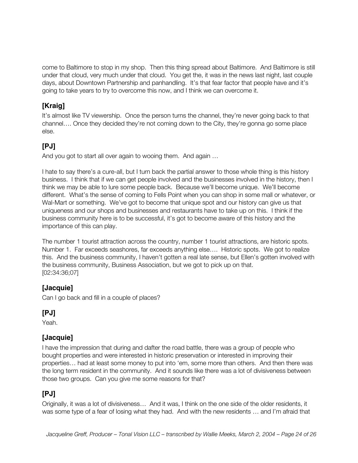come to Baltimore to stop in my shop. Then this thing spread about Baltimore. And Baltimore is still under that cloud, very much under that cloud. You get the, it was in the news last night, last couple days, about Downtown Partnership and panhandling. It's that fear factor that people have and it's going to take years to try to overcome this now, and I think we can overcome it.

# **[Kraig]**

It's almost like TV viewership. Once the person turns the channel, they're never going back to that channel…. Once they decided they're not coming down to the City, they're gonna go some place else.

# **[PJ]**

And you got to start all over again to wooing them. And again …

I hate to say there's a cure-all, but I turn back the partial answer to those whole thing is this history business. I think that if we can get people involved and the businesses involved in the history, then I think we may be able to lure some people back. Because we'll become unique. We'll become different. What's the sense of coming to Fells Point when you can shop in some mall or whatever, or Wal-Mart or something. We've got to become that unique spot and our history can give us that uniqueness and our shops and businesses and restaurants have to take up on this. I think if the business community here is to be successful, it's got to become aware of this history and the importance of this can play.

The number 1 tourist attraction across the country, number 1 tourist attractions, are historic spots. Number 1. Far exceeds seashores, far exceeds anything else…. Historic spots. We got to realize this. And the business community, I haven't gotten a real late sense, but Ellen's gotten involved with the business community, Business Association, but we got to pick up on that. [02:34:36;07]

#### **[Jacquie]**

Can I go back and fill in a couple of places?

# **[PJ]**

Yeah.

# **[Jacquie]**

I have the impression that during and dafter the road battle, there was a group of people who bought properties and were interested in historic preservation or interested in improving their properties… had at least some money to put into 'em, some more than others. And then there was the long term resident in the community. And it sounds like there was a lot of divisiveness between those two groups. Can you give me some reasons for that?

# **[PJ]**

Originally, it was a lot of divisiveness… And it was, I think on the one side of the older residents, it was some type of a fear of losing what they had. And with the new residents … and I'm afraid that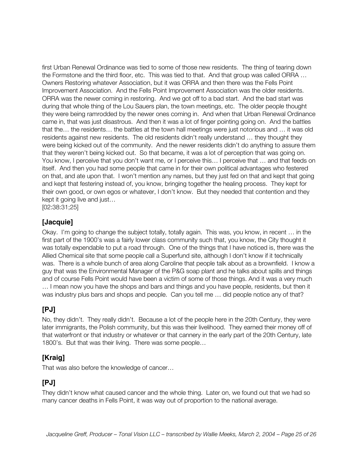first Urban Renewal Ordinance was tied to some of those new residents. The thing of tearing down the Formstone and the third floor, etc. This was tied to that. And that group was called ORRA … Owners Restoring whatever Association, but it was ORRA and then there was the Fells Point Improvement Association. And the Fells Point Improvement Association was the older residents. ORRA was the newer coming in restoring. And we got off to a bad start. And the bad start was during that whole thing of the Lou Sauers plan, the town meetings, etc. The older people thought they were being ramrodded by the newer ones coming in. And when that Urban Renewal Ordinance came in, that was just disastrous. And then it was a lot of finger pointing going on. And the battles that the… the residents… the battles at the town hall meetings were just notorious and … it was old residents against new residents. The old residents didn't really understand … they thought they were being kicked out of the community. And the newer residents didn't do anything to assure them that they weren't being kicked out. So that became, it was a lot of perception that was going on. You know, I perceive that you don't want me, or I perceive this… I perceive that … and that feeds on itself. And then you had some people that came in for their own political advantages who festered on that, and ate upon that. I won't mention any names, but they just fed on that and kept that going and kept that festering instead of, you know, bringing together the healing process. They kept for their own good, or own egos or whatever, I don't know. But they needed that contention and they kept it going live and just…

[02:38:31;25]

#### **[Jacquie]**

Okay. I'm going to change the subject totally, totally again. This was, you know, in recent … in the first part of the 1900's was a fairly lower class community such that, you know, the City thought it was totally expendable to put a road through. One of the things that I have noticed is, there was the Allied Chemical site that some people call a Superfund site, although I don't know if it technically was. There is a whole bunch of area along Caroline that people talk about as a brownfield. I know a guy that was the Environmental Manager of the P&G soap plant and he talks about spills and things and of course Fells Point would have been a victim of some of those things. And it was a very much … I mean now you have the shops and bars and things and you have people, residents, but then it was industry plus bars and shops and people. Can you tell me … did people notice any of that?

#### **[PJ]**

No, they didn't. They really didn't. Because a lot of the people here in the 20th Century, they were later immigrants, the Polish community, but this was their livelihood. They earned their money off of that waterfront or that industry or whatever or that cannery in the early part of the 20th Century, late 1800's. But that was their living. There was some people…

#### **[Kraig]**

That was also before the knowledge of cancer…

# **[PJ]**

They didn't know what caused cancer and the whole thing. Later on, we found out that we had so many cancer deaths in Fells Point, it was way out of proportion to the national average.